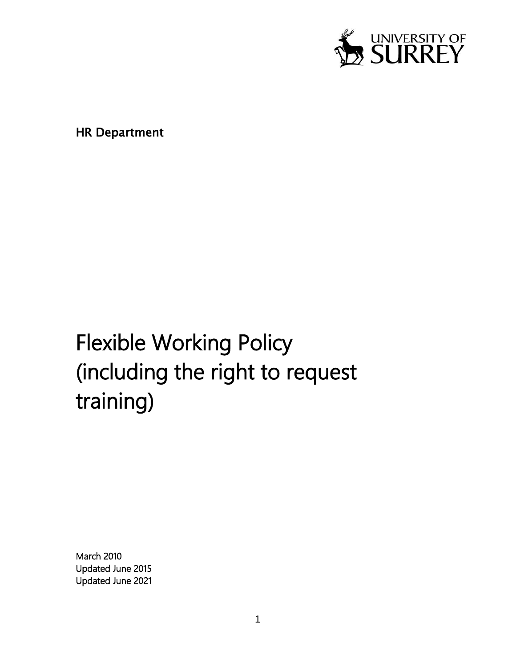

HR Department

# Flexible Working Policy (including the right to request training)

March 2010 Updated June 2015 Updated June 2021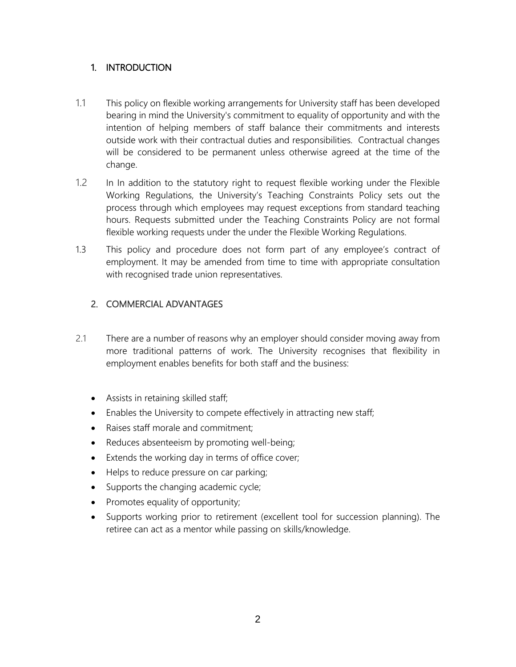## 1. INTRODUCTION

- 1.1 This policy on flexible working arrangements for University staff has been developed bearing in mind the University's commitment to equality of opportunity and with the intention of helping members of staff balance their commitments and interests outside work with their contractual duties and responsibilities. Contractual changes will be considered to be permanent unless otherwise agreed at the time of the change.
- 1.2 In In addition to the statutory right to request flexible working under the Flexible Working Regulations, the University's Teaching Constraints Policy sets out the process through which employees may request exceptions from standard teaching hours. Requests submitted under the Teaching Constraints Policy are not formal flexible working requests under the under the Flexible Working Regulations.
- 1.3 This policy and procedure does not form part of any employee's contract of employment. It may be amended from time to time with appropriate consultation with recognised trade union representatives.

# 2. COMMERCIAL ADVANTAGES

- 2.1 There are a number of reasons why an employer should consider moving away from more traditional patterns of work. The University recognises that flexibility in employment enables benefits for both staff and the business:
	- Assists in retaining skilled staff;
	- Enables the University to compete effectively in attracting new staff;
	- Raises staff morale and commitment;
	- Reduces absenteeism by promoting well-being;
	- Extends the working day in terms of office cover;
	- Helps to reduce pressure on car parking;
	- Supports the changing academic cycle;
	- Promotes equality of opportunity;
	- Supports working prior to retirement (excellent tool for succession planning). The retiree can act as a mentor while passing on skills/knowledge.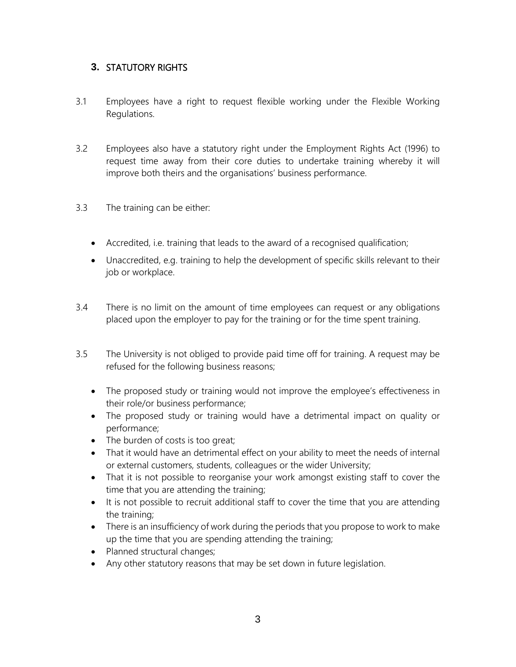# **3.** STATUTORY RIGHTS

- 3.1 Employees have a right to request flexible working under the Flexible Working Regulations.
- 3.2 Employees also have a statutory right under the Employment Rights Act (1996) to request time away from their core duties to undertake training whereby it will improve both theirs and the organisations' business performance.
- 3.3 The training can be either:
	- Accredited, i.e. training that leads to the award of a recognised qualification;
	- Unaccredited, e.g. training to help the development of specific skills relevant to their job or workplace.
- 3.4 There is no limit on the amount of time employees can request or any obligations placed upon the employer to pay for the training or for the time spent training.
- 3.5 The University is not obliged to provide paid time off for training. A request may be refused for the following business reasons;
	- The proposed study or training would not improve the employee's effectiveness in their role/or business performance;
	- The proposed study or training would have a detrimental impact on quality or performance;
	- The burden of costs is too great;
	- That it would have an detrimental effect on your ability to meet the needs of internal or external customers, students, colleagues or the wider University;
	- That it is not possible to reorganise your work amongst existing staff to cover the time that you are attending the training;
	- It is not possible to recruit additional staff to cover the time that you are attending the training;
	- There is an insufficiency of work during the periods that you propose to work to make up the time that you are spending attending the training;
	- Planned structural changes;
	- Any other statutory reasons that may be set down in future legislation.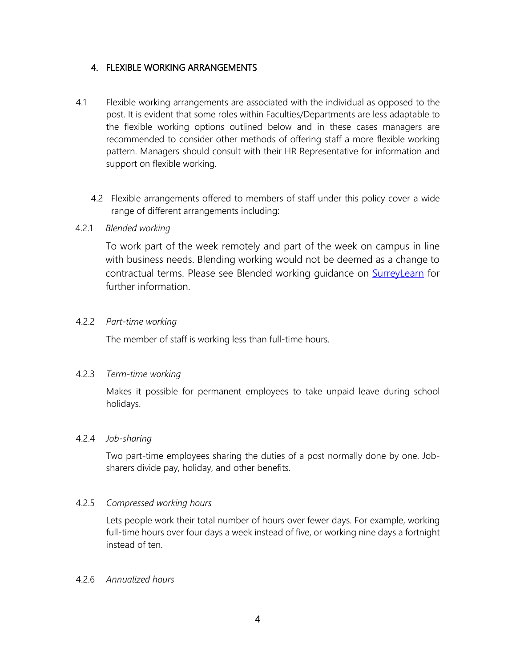### 4. FLEXIBLE WORKING ARRANGEMENTS

- 4.1 Flexible working arrangements are associated with the individual as opposed to the post. It is evident that some roles within Faculties/Departments are less adaptable to the flexible working options outlined below and in these cases managers are recommended to consider other methods of offering staff a more flexible working pattern. Managers should consult with their HR Representative for information and support on flexible working.
	- 4.2 Flexible arrangements offered to members of staff under this policy cover a wide range of different arrangements including:

#### 4.2.1 *Blended working*

To work part of the week remotely and part of the week on campus in line with business needs. Blending working would not be deemed as a change to contractual terms. Please see Blended working guidance on [SurreyLearn](https://surreylearn.surrey.ac.uk/d2l/le/lessons/226042/lessons/2103444) for further information.

#### 4.2.2 *Part-time working*

The member of staff is working less than full-time hours.

#### 4.2.3 *Term-time working*

Makes it possible for permanent employees to take unpaid leave during school holidays.

#### 4.2.4 *Job-sharing*

Two part-time employees sharing the duties of a post normally done by one. Jobsharers divide pay, holiday, and other benefits.

#### 4.2.5 *Compressed working hours*

Lets people work their total number of hours over fewer days. For example, working full-time hours over four days a week instead of five, or working nine days a fortnight instead of ten.

#### 4.2.6 *Annualized hours*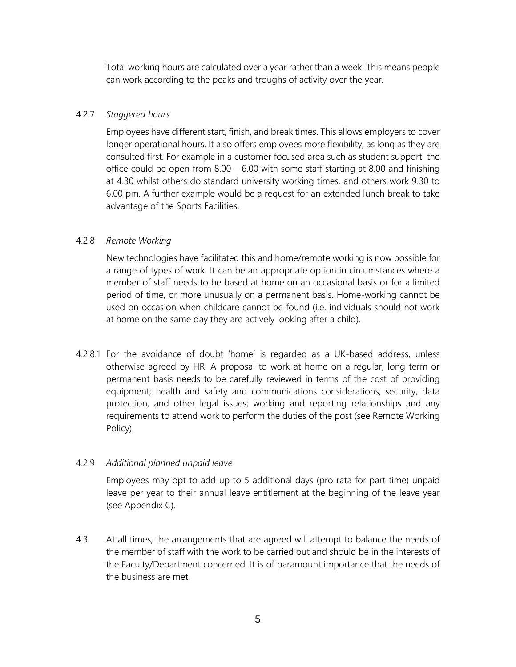Total working hours are calculated over a year rather than a week. This means people can work according to the peaks and troughs of activity over the year.

#### 4.2.7 *Staggered hours*

Employees have different start, finish, and break times. This allows employers to cover longer operational hours. It also offers employees more flexibility, as long as they are consulted first. For example in a customer focused area such as student support the office could be open from 8.00 – 6.00 with some staff starting at 8.00 and finishing at 4.30 whilst others do standard university working times, and others work 9.30 to 6.00 pm. A further example would be a request for an extended lunch break to take advantage of the Sports Facilities.

### 4.2.8 *Remote Working*

New technologies have facilitated this and home/remote working is now possible for a range of types of work. It can be an appropriate option in circumstances where a member of staff needs to be based at home on an occasional basis or for a limited period of time, or more unusually on a permanent basis. Home-working cannot be used on occasion when childcare cannot be found (i.e. individuals should not work at home on the same day they are actively looking after a child).

4.2.8.1 For the avoidance of doubt 'home' is regarded as a UK-based address, unless otherwise agreed by HR. A proposal to work at home on a regular, long term or permanent basis needs to be carefully reviewed in terms of the cost of providing equipment; health and safety and communications considerations; security, data protection, and other legal issues; working and reporting relationships and any requirements to attend work to perform the duties of the post (see Remote Working Policy).

#### 4.2.9 *Additional planned unpaid leave*

Employees may opt to add up to 5 additional days (pro rata for part time) unpaid leave per year to their annual leave entitlement at the beginning of the leave year (see Appendix C).

4.3 At all times, the arrangements that are agreed will attempt to balance the needs of the member of staff with the work to be carried out and should be in the interests of the [Faculty/Department](about:blank) concerned. It is of paramount importance that the needs of the business are met.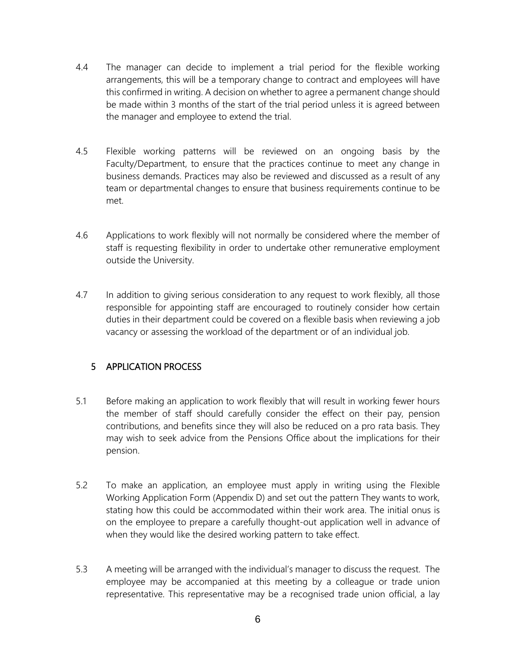- 4.4 The manager can decide to implement a trial period for the flexible working arrangements, this will be a temporary change to contract and employees will have this confirmed in writing. A decision on whether to agree a permanent change should be made within 3 months of the start of the trial period unless it is agreed between the manager and employee to extend the trial.
- 4.5 Flexible working patterns will be reviewed on an ongoing basis by the Faculty/Department, to ensure that the practices continue to meet any change in business demands. Practices may also be reviewed and discussed as a result of any team or departmental changes to ensure that business requirements continue to be met.
- 4.6 Applications to work flexibly will not normally be considered where the member of staff is requesting flexibility in order to undertake other remunerative employment outside the University.
- 4.7 In addition to giving serious consideration to any request to work flexibly, all those responsible for appointing staff are encouraged to routinely consider how certain duties in their department could be covered on a flexible basis when reviewing a job vacancy or assessing the workload of the department or of an individual job.

# 5 APPLICATION PROCESS

- 5.1 Before making an application to work flexibly that will result in working fewer hours the member of staff should carefully consider the effect on their pay, pension contributions, and benefits since they will also be reduced on a pro rata basis. They may wish to seek advice from the Pensions Office about the implications for their pension.
- 5.2 To make an application, an employee must apply in writing using the Flexible Working Application Form (Appendix D) and set out the pattern They wants to work, stating how this could be accommodated within their work area. The initial onus is on the employee to prepare a carefully thought-out application well in advance of when they would like the desired working pattern to take effect.
- 5.3 A meeting will be arranged with the individual's manager to discuss the request. The employee may be accompanied at this meeting by a colleague or trade union representative. This representative may be a recognised trade union official, a lay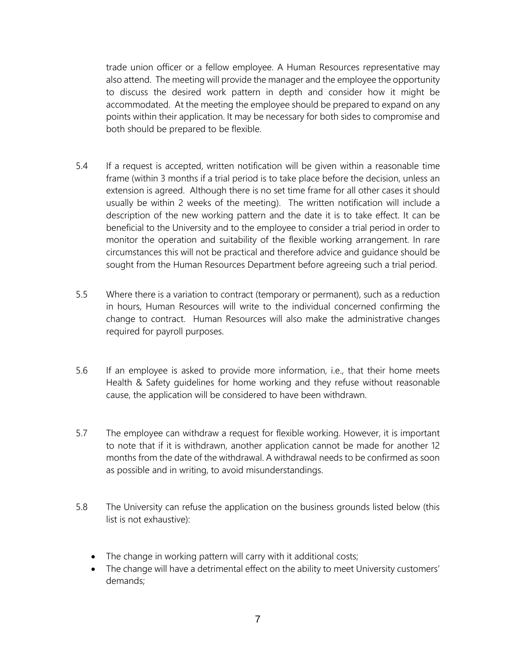trade union officer or a fellow employee. A Human Resources representative may also attend. The meeting will provide the manager and the employee the opportunity to discuss the desired work pattern in depth and consider how it might be accommodated. At the meeting the employee should be prepared to expand on any points within their application. It may be necessary for both sides to compromise and both should be prepared to be flexible.

- 5.4 If a request is accepted, written notification will be given within a reasonable time frame (within 3 months if a trial period is to take place before the decision, unless an extension is agreed. Although there is no set time frame for all other cases it should usually be within 2 weeks of the meeting). The written notification will include a description of the new working pattern and the date it is to take effect. It can be beneficial to the University and to the employee to consider a trial period in order to monitor the operation and suitability of the flexible working arrangement. In rare circumstances this will not be practical and therefore advice and guidance should be sought from the Human Resources Department before agreeing such a trial period.
- 5.5 Where there is a variation to contract (temporary or permanent), such as a reduction in hours, Human Resources will write to the individual concerned confirming the change to contract. Human Resources will also make the administrative changes required for payroll purposes.
- 5.6 If an employee is asked to provide more information, i.e., that their home meets Health & Safety guidelines for home working and they refuse without reasonable cause, the application will be considered to have been withdrawn.
- 5.7 The employee can withdraw a request for flexible working. However, it is important to note that if it is withdrawn, another application cannot be made for another 12 months from the date of the withdrawal. A withdrawal needs to be confirmed as soon as possible and in writing, to avoid misunderstandings.
- 5.8 The University can refuse the application on the business grounds listed below (this list is not exhaustive):
	- The change in working pattern will carry with it additional costs;
	- The change will have a detrimental effect on the ability to meet University customers' demands;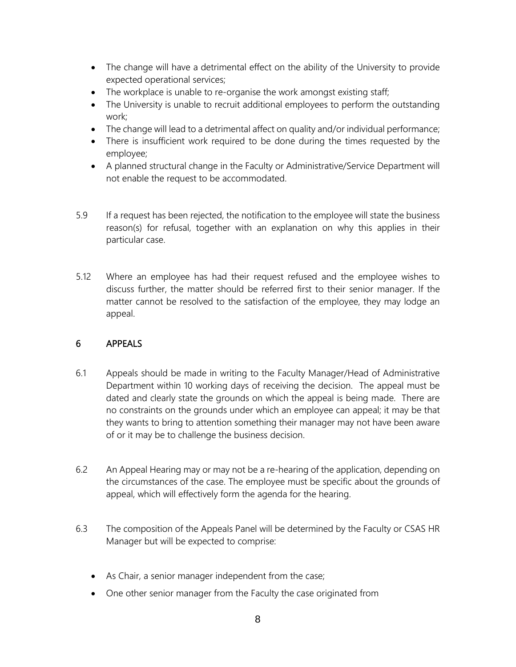- The change will have a detrimental effect on the ability of the University to provide expected operational services;
- The workplace is unable to re-organise the work amongst existing staff;
- The University is unable to recruit additional employees to perform the outstanding work;
- The change will lead to a detrimental affect on quality and/or individual performance;
- There is insufficient work required to be done during the times requested by the employee;
- A planned structural change in the Faculty or Administrative/Service Department will not enable the request to be accommodated.
- 5.9 If a request has been rejected, the notification to the employee will state the business reason(s) for refusal, together with an explanation on why this applies in their particular case.
- 5.12 Where an employee has had their request refused and the employee wishes to discuss further, the matter should be referred first to their senior manager. If the matter cannot be resolved to the satisfaction of the employee, they may lodge an appeal.

# 6 APPEALS

- 6.1 Appeals should be made in writing to the Faculty Manager/Head of Administrative Department within 10 working days of receiving the decision. The appeal must be dated and clearly state the grounds on which the appeal is being made. There are no constraints on the grounds under which an employee can appeal; it may be that they wants to bring to attention something their manager may not have been aware of or it may be to challenge the business decision.
- 6.2 An Appeal Hearing may or may not be a re-hearing of the application, depending on the circumstances of the case. The employee must be specific about the grounds of appeal, which will effectively form the agenda for the hearing.
- 6.3 The composition of the Appeals Panel will be determined by the Faculty or CSAS HR Manager but will be expected to comprise:
	- As Chair, a senior manager independent from the case;
	- One other senior manager from the Faculty the case originated from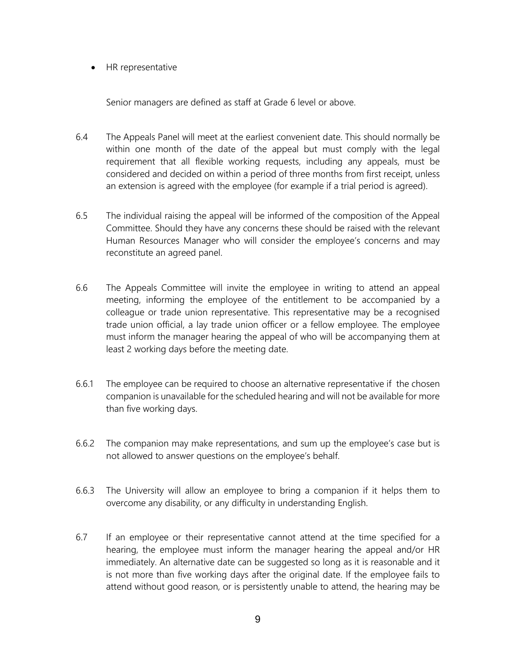• HR representative

Senior managers are defined as staff at Grade 6 level or above.

- 6.4 The Appeals Panel will meet at the earliest convenient date. This should normally be within one month of the date of the appeal but must comply with the legal requirement that all flexible working requests, including any appeals, must be considered and decided on within a period of three months from first receipt, unless an extension is agreed with the employee (for example if a trial period is agreed).
- 6.5 The individual raising the appeal will be informed of the composition of the Appeal Committee. Should they have any concerns these should be raised with the relevant Human Resources Manager who will consider the employee's concerns and may reconstitute an agreed panel.
- 6.6 The Appeals Committee will invite the employee in writing to attend an appeal meeting, informing the employee of the entitlement to be accompanied by a colleague or trade union representative. This representative may be a recognised trade union official, a lay trade union officer or a fellow employee. The employee must inform the manager hearing the appeal of who will be accompanying them at least 2 working days before the meeting date.
- 6.6.1 The employee can be required to choose an alternative representative if the chosen companion is unavailable for the scheduled hearing and will not be available for more than five working days.
- 6.6.2 The companion may make representations, and sum up the employee's case but is not allowed to answer questions on the employee's behalf.
- 6.6.3 The University will allow an employee to bring a companion if it helps them to overcome any disability, or any difficulty in understanding English.
- 6.7 If an employee or their representative cannot attend at the time specified for a hearing, the employee must inform the manager hearing the appeal and/or HR immediately. An alternative date can be suggested so long as it is reasonable and it is not more than five working days after the original date. If the employee fails to attend without good reason, or is persistently unable to attend, the hearing may be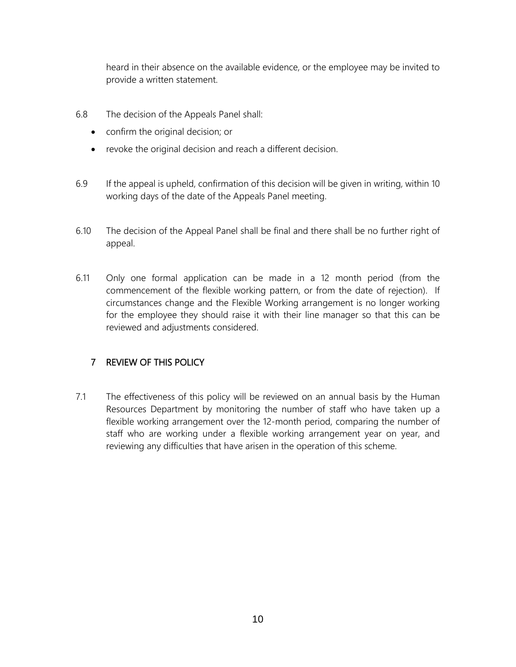heard in their absence on the available evidence, or the employee may be invited to provide a written statement.

- 6.8 The decision of the Appeals Panel shall:
	- confirm the original decision; or
	- revoke the original decision and reach a different decision.
- 6.9 If the appeal is upheld, confirmation of this decision will be given in writing, within 10 working days of the date of the Appeals Panel meeting.
- 6.10 The decision of the Appeal Panel shall be final and there shall be no further right of appeal.
- 6.11 Only one formal application can be made in a 12 month period (from the commencement of the flexible working pattern, or from the date of rejection). If circumstances change and the Flexible Working arrangement is no longer working for the employee they should raise it with their line manager so that this can be reviewed and adjustments considered.

# 7 REVIEW OF THIS POLICY

7.1 The effectiveness of this policy will be reviewed on an annual basis by the Human Resources Department by monitoring the number of staff who have taken up a flexible working arrangement over the 12-month period, comparing the number of staff who are working under a flexible working arrangement year on year, and reviewing any difficulties that have arisen in the operation of this scheme.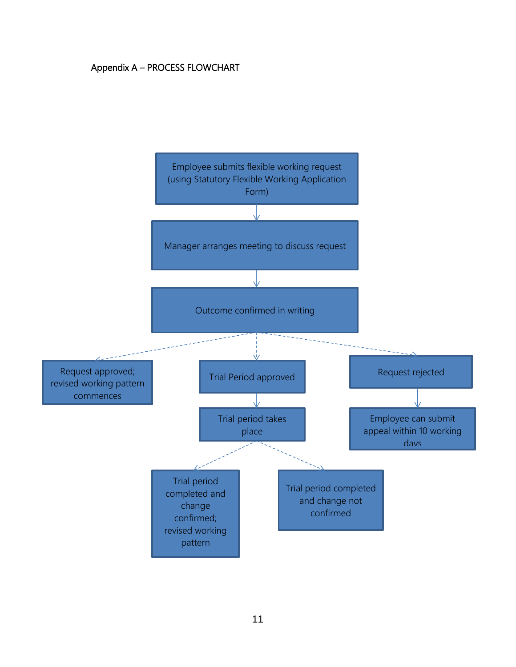## Appendix A – PROCESS FLOWCHART

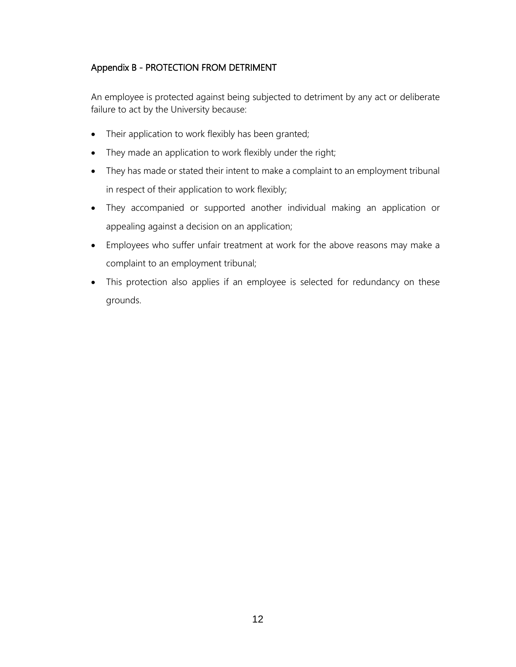# Appendix B - PROTECTION FROM DETRIMENT

An employee is protected against being subjected to detriment by any act or deliberate failure to act by the University because:

- Their application to work flexibly has been granted;
- They made an application to work flexibly under the right;
- They has made or stated their intent to make a complaint to an employment tribunal in respect of their application to work flexibly;
- They accompanied or supported another individual making an application or appealing against a decision on an application;
- Employees who suffer unfair treatment at work for the above reasons may make a complaint to an employment tribunal;
- This protection also applies if an employee is selected for redundancy on these grounds.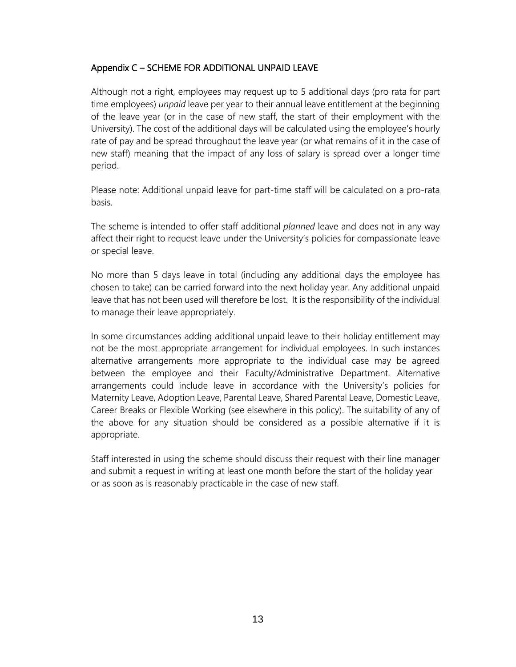#### Appendix C – SCHEME FOR ADDITIONAL UNPAID LEAVE

Although not a right, employees may request up to 5 additional days (pro rata for part time employees) *unpaid* leave per year to their annual leave entitlement at the beginning of the leave year (or in the case of new staff, the start of their employment with the University). The cost of the additional days will be calculated using the employee's hourly rate of pay and be spread throughout the leave year (or what remains of it in the case of new staff) meaning that the impact of any loss of salary is spread over a longer time period.

Please note: Additional unpaid leave for part-time staff will be calculated on a pro-rata basis.

The scheme is intended to offer staff additional *planned* leave and does not in any way affect their right to request leave under the University's policies for compassionate leave or special leave.

No more than 5 days leave in total (including any additional days the employee has chosen to take) can be carried forward into the next holiday year. Any additional unpaid leave that has not been used will therefore be lost. It is the responsibility of the individual to manage their leave appropriately.

In some circumstances adding additional unpaid leave to their holiday entitlement may not be the most appropriate arrangement for individual employees. In such instances alternative arrangements more appropriate to the individual case may be agreed between the employee and their Faculty/Administrative Department. Alternative arrangements could include leave in accordance with the University's policies for Maternity Leave, Adoption Leave, Parental Leave, Shared Parental Leave, Domestic Leave, [Career Breaks](about:blank) or Flexible Working (see elsewhere in this policy). The suitability of any of the above for any situation should be considered as a possible alternative if it is appropriate.

Staff interested in using the scheme should discuss their request with their line manager and submit a request in writing at least one month before the start of the holiday year or as soon as is reasonably practicable in the case of new staff.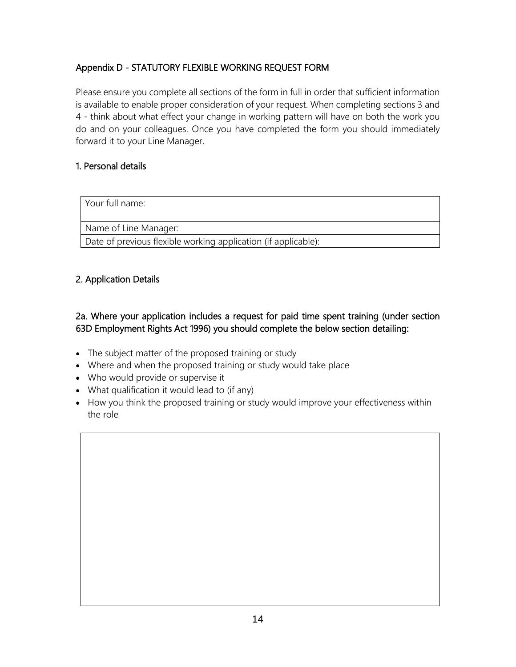# Appendix D - STATUTORY FLEXIBLE WORKING REQUEST FORM

Please ensure you complete all sections of the form in full in order that sufficient information is available to enable proper consideration of your request. When completing sections 3 and 4 - think about what effect your change in working pattern will have on both the work you do and on your colleagues. Once you have completed the form you should immediately forward it to your Line Manager.

### 1. Personal details

Your full name:

Name of Line Manager:

Date of previous flexible working application (if applicable):

# 2. Application Details

2a. Where your application includes a request for paid time spent training (under section 63D Employment Rights Act 1996) you should complete the below section detailing:

- The subject matter of the proposed training or study
- Where and when the proposed training or study would take place
- Who would provide or supervise it
- What qualification it would lead to (if any)
- How you think the proposed training or study would improve your effectiveness within the role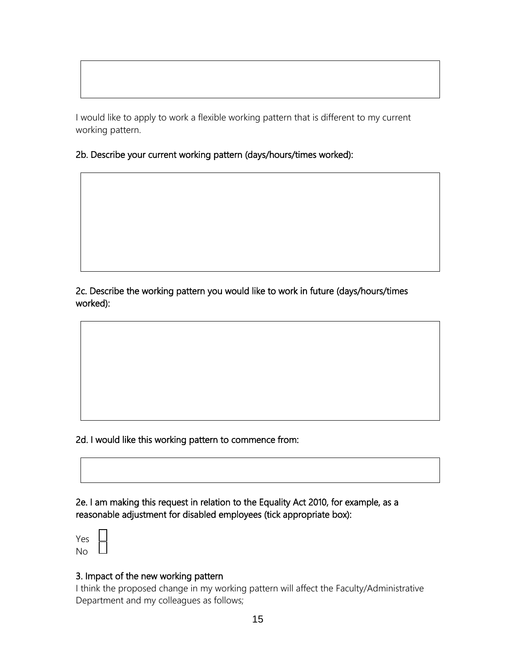I would like to apply to work a flexible working pattern that is different to my current working pattern.

2b. Describe your current working pattern (days/hours/times worked):

2c. Describe the working pattern you would like to work in future (days/hours/times worked):

2d. I would like this working pattern to commence from:

2e. I am making this request in relation to the Equality Act 2010, for example, as a reasonable adjustment for disabled employees (tick appropriate box):

Yes No

#### 3. Impact of the new working pattern

I think the proposed change in my working pattern will affect the Faculty/Administrative Department and my colleagues as follows;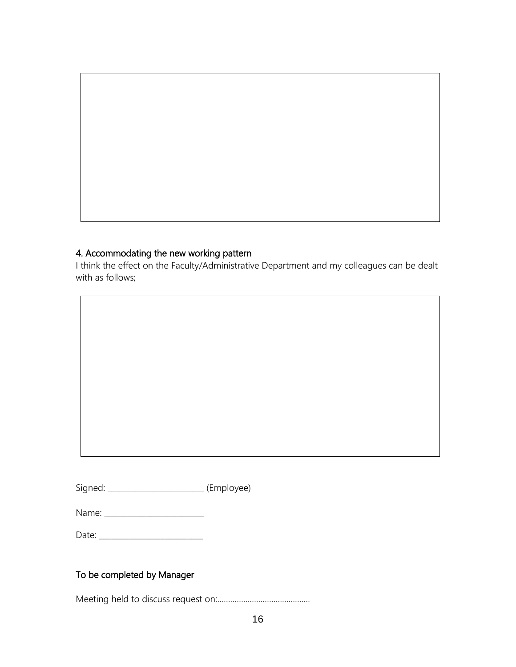# 4. Accommodating the new working pattern

I think the effect on the Faculty/Administrative Department and my colleagues can be dealt with as follows;

Signed: \_\_\_\_\_\_\_\_\_\_\_\_\_\_\_\_\_\_\_\_\_\_\_\_\_ (Employee)

| Ν<br>$\sim$ $\sim$ $\sim$<br>____ |  |
|-----------------------------------|--|
|-----------------------------------|--|

| Date <sup>.</sup> |
|-------------------|
|-------------------|

# To be completed by Manager

Meeting held to discuss request on:…………………………………….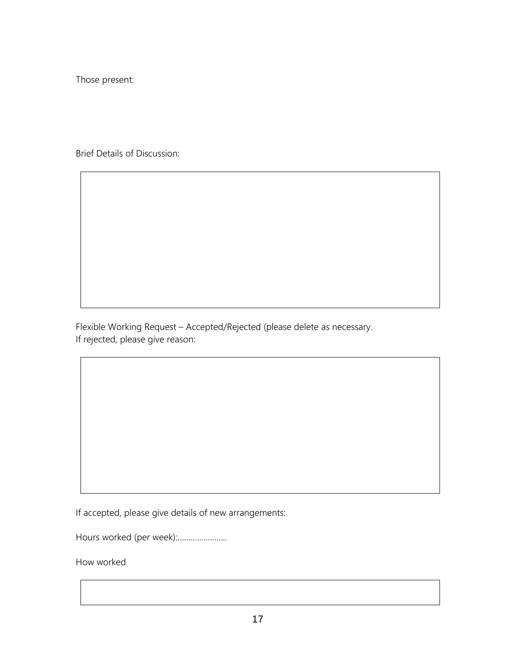Those present:

Brief Details of Discussion:

Flexible Working Request – Accepted/Rejected (please delete as necessary. If rejected, please give reason:

If accepted, please give details of new arrangements:

Hours worked (per week):…………………..

How worked